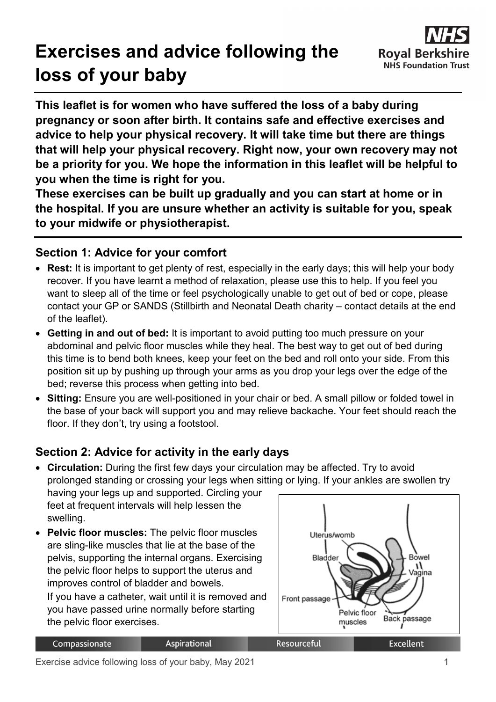# **Exercises and advice following the loss of your baby**



**This leaflet is for women who have suffered the loss of a baby during pregnancy or soon after birth. It contains safe and effective exercises and advice to help your physical recovery. It will take time but there are things that will help your physical recovery. Right now, your own recovery may not be a priority for you. We hope the information in this leaflet will be helpful to you when the time is right for you.**

**These exercises can be built up gradually and you can start at home or in the hospital. If you are unsure whether an activity is suitable for you, speak to your midwife or physiotherapist.**

## **Section 1: Advice for your comfort**

- **Rest:** It is important to get plenty of rest, especially in the early days; this will help your body recover. If you have learnt a method of relaxation, please use this to help. If you feel you want to sleep all of the time or feel psychologically unable to get out of bed or cope, please contact your GP or SANDS (Stillbirth and Neonatal Death charity – contact details at the end of the leaflet).
- **Getting in and out of bed:** It is important to avoid putting too much pressure on your abdominal and pelvic floor muscles while they heal. The best way to get out of bed during this time is to bend both knees, keep your feet on the bed and roll onto your side. From this position sit up by pushing up through your arms as you drop your legs over the edge of the bed; reverse this process when getting into bed.
- **Sitting:** Ensure you are well-positioned in your chair or bed. A small pillow or folded towel in the base of your back will support you and may relieve backache. Your feet should reach the floor. If they don't, try using a footstool.

# **Section 2: Advice for activity in the early days**

- **Circulation:** During the first few days your circulation may be affected. Try to avoid prolonged standing or crossing your legs when sitting or lying. If your ankles are swollen try having your legs up and supported. Circling your feet at frequent intervals will help lessen the swelling. • **Pelvic floor muscles:** The pelvic floor muscles Uterus/womb are sling-like muscles that lie at the base of the
- pelvis, supporting the internal organs. Exercising the pelvic floor helps to support the uterus and improves control of bladder and bowels. If you have a catheter, wait until it is removed and

you have passed urine normally before starting the pelvic floor exercises.

**Aspirational** 



Compassionate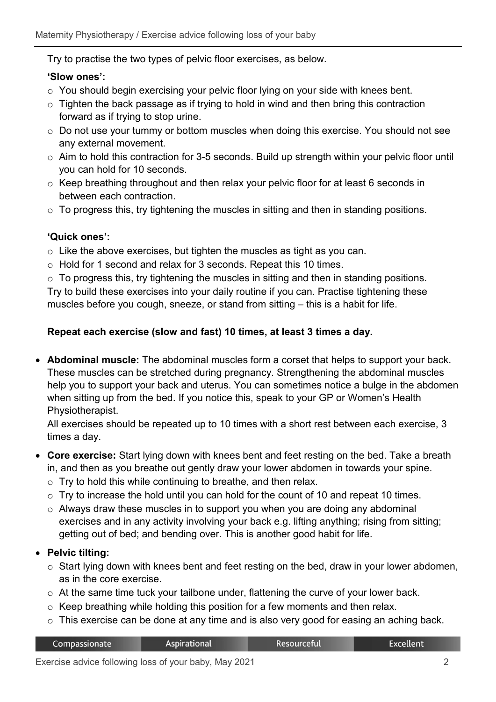Try to practise the two types of pelvic floor exercises, as below.

#### **'Slow ones':**

- o You should begin exercising your pelvic floor lying on your side with knees bent.
- $\circ$  Tighten the back passage as if trying to hold in wind and then bring this contraction forward as if trying to stop urine.
- o Do not use your tummy or bottom muscles when doing this exercise. You should not see any external movement.
- o Aim to hold this contraction for 3-5 seconds. Build up strength within your pelvic floor until you can hold for 10 seconds.
- $\circ$  Keep breathing throughout and then relax your pelvic floor for at least 6 seconds in between each contraction.
- $\circ$  To progress this, try tightening the muscles in sitting and then in standing positions.

## **'Quick ones':**

- $\circ$  Like the above exercises, but tighten the muscles as tight as you can.
- o Hold for 1 second and relax for 3 seconds. Repeat this 10 times.
- $\circ$  To progress this, try tightening the muscles in sitting and then in standing positions.

Try to build these exercises into your daily routine if you can. Practise tightening these muscles before you cough, sneeze, or stand from sitting – this is a habit for life.

## **Repeat each exercise (slow and fast) 10 times, at least 3 times a day.**

• **Abdominal muscle:** The abdominal muscles form a corset that helps to support your back. These muscles can be stretched during pregnancy. Strengthening the abdominal muscles help you to support your back and uterus. You can sometimes notice a bulge in the abdomen when sitting up from the bed. If you notice this, speak to your GP or Women's Health Physiotherapist.

All exercises should be repeated up to 10 times with a short rest between each exercise, 3 times a day.

- **Core exercise:** Start lying down with knees bent and feet resting on the bed. Take a breath in, and then as you breathe out gently draw your lower abdomen in towards your spine.
	- $\circ$  Try to hold this while continuing to breathe, and then relax.
	- $\circ$  Try to increase the hold until you can hold for the count of 10 and repeat 10 times.
	- o Always draw these muscles in to support you when you are doing any abdominal exercises and in any activity involving your back e.g. lifting anything; rising from sitting; getting out of bed; and bending over. This is another good habit for life.

## • **Pelvic tilting:**

- $\circ$  Start lying down with knees bent and feet resting on the bed, draw in your lower abdomen, as in the core exercise.
- o At the same time tuck your tailbone under, flattening the curve of your lower back.
- $\circ$  Keep breathing while holding this position for a few moments and then relax.
- o This exercise can be done at any time and is also very good for easing an aching back.

| Compassionate | <b>Aspirational</b> | Resourceful | <b>Excellent</b> |
|---------------|---------------------|-------------|------------------|
|               |                     |             |                  |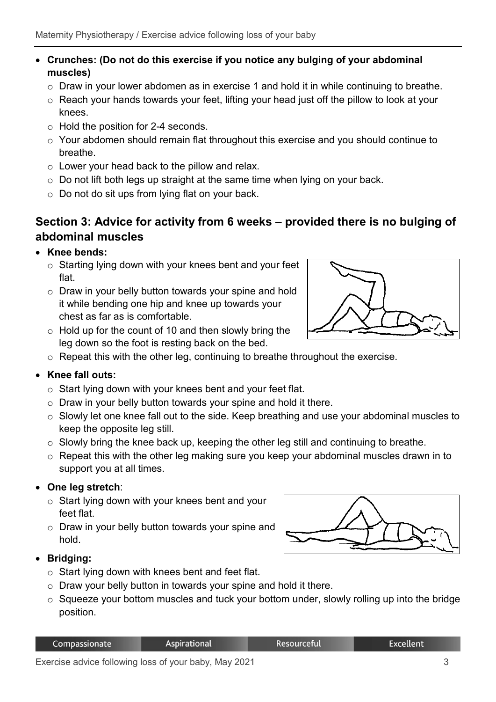#### • **Crunches: (Do not do this exercise if you notice any bulging of your abdominal muscles)**

- o Draw in your lower abdomen as in exercise 1 and hold it in while continuing to breathe.
- o Reach your hands towards your feet, lifting your head just off the pillow to look at your knees.
- o Hold the position for 2-4 seconds.
- o Your abdomen should remain flat throughout this exercise and you should continue to breathe.
- o Lower your head back to the pillow and relax.
- $\circ$  Do not lift both legs up straight at the same time when Iving on your back.
- o Do not do sit ups from lying flat on your back.

## **Section 3: Advice for activity from 6 weeks – provided there is no bulging of abdominal muscles**

- **Knee bends:** 
	- o Starting lying down with your knees bent and your feet flat.
	- o Draw in your belly button towards your spine and hold it while bending one hip and knee up towards your chest as far as is comfortable.
	- $\circ$  Hold up for the count of 10 and then slowly bring the leg down so the foot is resting back on the bed.
	- o Repeat this with the other leg, continuing to breathe throughout the exercise.

## • **Knee fall outs:**

- $\circ$  Start lying down with your knees bent and your feet flat.
- o Draw in your belly button towards your spine and hold it there.
- o Slowly let one knee fall out to the side. Keep breathing and use your abdominal muscles to keep the opposite leg still.
- o Slowly bring the knee back up, keeping the other leg still and continuing to breathe.
- o Repeat this with the other leg making sure you keep your abdominal muscles drawn in to support you at all times.

## • **One leg stretch**:

- o Start lying down with your knees bent and your feet flat.
- o Draw in your belly button towards your spine and hold.



- o Start lying down with knees bent and feet flat.
- o Draw your belly button in towards your spine and hold it there.
- $\circ$  Squeeze your bottom muscles and tuck your bottom under, slowly rolling up into the bridge position.

Resourceful

**Excellent** 



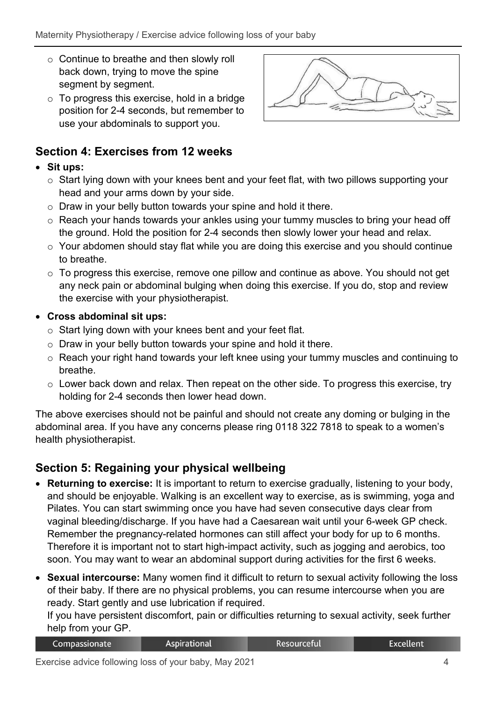- o Continue to breathe and then slowly roll back down, trying to move the spine segment by segment.
- $\circ$  To progress this exercise, hold in a bridge position for 2-4 seconds, but remember to use your abdominals to support you.



# **Section 4: Exercises from 12 weeks**

## • **Sit ups:**

- o Start lying down with your knees bent and your feet flat, with two pillows supporting your head and your arms down by your side.
- o Draw in your belly button towards your spine and hold it there.
- o Reach your hands towards your ankles using your tummy muscles to bring your head off the ground. Hold the position for 2-4 seconds then slowly lower your head and relax.
- o Your abdomen should stay flat while you are doing this exercise and you should continue to breathe.
- o To progress this exercise, remove one pillow and continue as above. You should not get any neck pain or abdominal bulging when doing this exercise. If you do, stop and review the exercise with your physiotherapist.
- **Cross abdominal sit ups:**
	- o Start lying down with your knees bent and your feet flat.
	- o Draw in your belly button towards your spine and hold it there.
	- o Reach your right hand towards your left knee using your tummy muscles and continuing to breathe.
	- $\circ$  Lower back down and relax. Then repeat on the other side. To progress this exercise, try holding for 2-4 seconds then lower head down.

The above exercises should not be painful and should not create any doming or bulging in the abdominal area. If you have any concerns please ring 0118 322 7818 to speak to a women's health physiotherapist.

## **Section 5: Regaining your physical wellbeing**

- **Returning to exercise:** It is important to return to exercise gradually, listening to your body, and should be enjoyable. Walking is an excellent way to exercise, as is swimming, yoga and Pilates. You can start swimming once you have had seven consecutive days clear from vaginal bleeding/discharge. If you have had a Caesarean wait until your 6-week GP check. Remember the pregnancy-related hormones can still affect your body for up to 6 months. Therefore it is important not to start high-impact activity, such as jogging and aerobics, too soon. You may want to wear an abdominal support during activities for the first 6 weeks.
- **Sexual intercourse:** Many women find it difficult to return to sexual activity following the loss of their baby. If there are no physical problems, you can resume intercourse when you are ready. Start gently and use lubrication if required.

If you have persistent discomfort, pain or difficulties returning to sexual activity, seek further help from your GP.

| Compassionate | Aspirational | . Resourceful | <b>Excellent</b> |  |  |
|---------------|--------------|---------------|------------------|--|--|